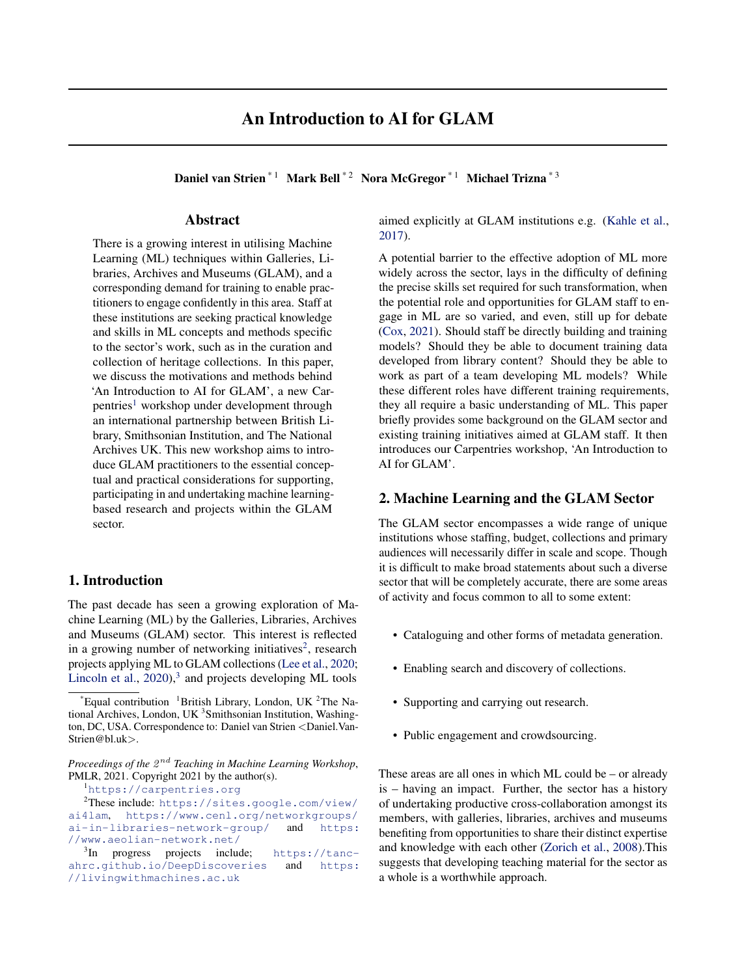# An Introduction to AI for GLAM

Daniel van Strien<sup>\* 1</sup> Mark Bell<sup>\* 2</sup> Nora McGregor<sup>\* 1</sup> Michael Trizna<sup>\* 3</sup>

# Abstract

There is a growing interest in utilising Machine Learning (ML) techniques within Galleries, Libraries, Archives and Museums (GLAM), and a corresponding demand for training to enable practitioners to engage confidently in this area. Staff at these institutions are seeking practical knowledge and skills in ML concepts and methods specific to the sector's work, such as in the curation and collection of heritage collections. In this paper, we discuss the motivations and methods behind 'An Introduction to AI for GLAM', a new Carpentries<sup>1</sup> workshop under development through an international partnership between British Library, Smithsonian Institution, and The National Archives UK. This new workshop aims to introduce GLAM practitioners to the essential conceptual and practical considerations for supporting, participating in and undertaking machine learningbased research and projects within the GLAM sector.

# 1. Introduction

The past decade has seen a growing exploration of Machine Learning (ML) by the Galleries, Libraries, Archives and Museums (GLAM) sector. This interest is reflected in a growing number of networking initiatives<sup>2</sup>, research projects applying ML to GLAM collections [\(Lee et al.,](#page-4-0) [2020;](#page-4-0) [Lincoln et al.,](#page-4-0)  $2020$ ,<sup>3</sup> and projects developing ML tools

<sup>1</sup><https://carpentries.org>

aimed explicitly at GLAM institutions e.g. [\(Kahle et al.,](#page-4-0) [2017\)](#page-4-0).

A potential barrier to the effective adoption of ML more widely across the sector, lays in the difficulty of defining the precise skills set required for such transformation, when the potential role and opportunities for GLAM staff to engage in ML are so varied, and even, still up for debate [\(Cox,](#page-4-0) [2021\)](#page-4-0). Should staff be directly building and training models? Should they be able to document training data developed from library content? Should they be able to work as part of a team developing ML models? While these different roles have different training requirements, they all require a basic understanding of ML. This paper briefly provides some background on the GLAM sector and existing training initiatives aimed at GLAM staff. It then introduces our Carpentries workshop, 'An Introduction to AI for GLAM'.

# 2. Machine Learning and the GLAM Sector

The GLAM sector encompasses a wide range of unique institutions whose staffing, budget, collections and primary audiences will necessarily differ in scale and scope. Though it is difficult to make broad statements about such a diverse sector that will be completely accurate, there are some areas of activity and focus common to all to some extent:

- Cataloguing and other forms of metadata generation.
- Enabling search and discovery of collections.
- Supporting and carrying out research.
- Public engagement and crowdsourcing.

These areas are all ones in which ML could be – or already is – having an impact. Further, the sector has a history of undertaking productive cross-collaboration amongst its members, with galleries, libraries, archives and museums benefiting from opportunities to share their distinct expertise and knowledge with each other [\(Zorich et al.,](#page-4-0) [2008\)](#page-4-0).This suggests that developing teaching material for the sector as a whole is a worthwhile approach.

Equal contribution  $1B$  British Library, London, UK  $2T$ he National Archives, London, UK<sup>3</sup> Smithsonian Institution, Washington, DC, USA. Correspondence to: Daniel van Strien <Daniel.Van-Strien@bl.uk>.

Proceedings of the  $2^{nd}$  Teaching in Machine Learning Workshop, PMLR, 2021. Copyright 2021 by the author(s).

<sup>2</sup>These include: [https://sites.google.com/view/](https://sites.google.com/view/ai4lam) [ai4lam](https://sites.google.com/view/ai4lam), [https://www.cenl.org/networkgroups/](https://www.cenl.org/networkgroups/ai-in-libraries-network-group/) [ai-in-libraries-network-group/](https://www.cenl.org/networkgroups/ai-in-libraries-network-group/) and [https:](https://www.aeolian-network.net/) [//www.aeolian-network.net/](https://www.aeolian-network.net/)

<sup>&</sup>lt;sup>3</sup>In progress projects include; [https://tanc](https://tanc-ahrc.github.io/DeepDiscoveries)[ahrc.github.io/DeepDiscoveries](https://tanc-ahrc.github.io/DeepDiscoveries) and [https:](https://livingwithmachines.ac.uk) [//livingwithmachines.ac.uk](https://livingwithmachines.ac.uk)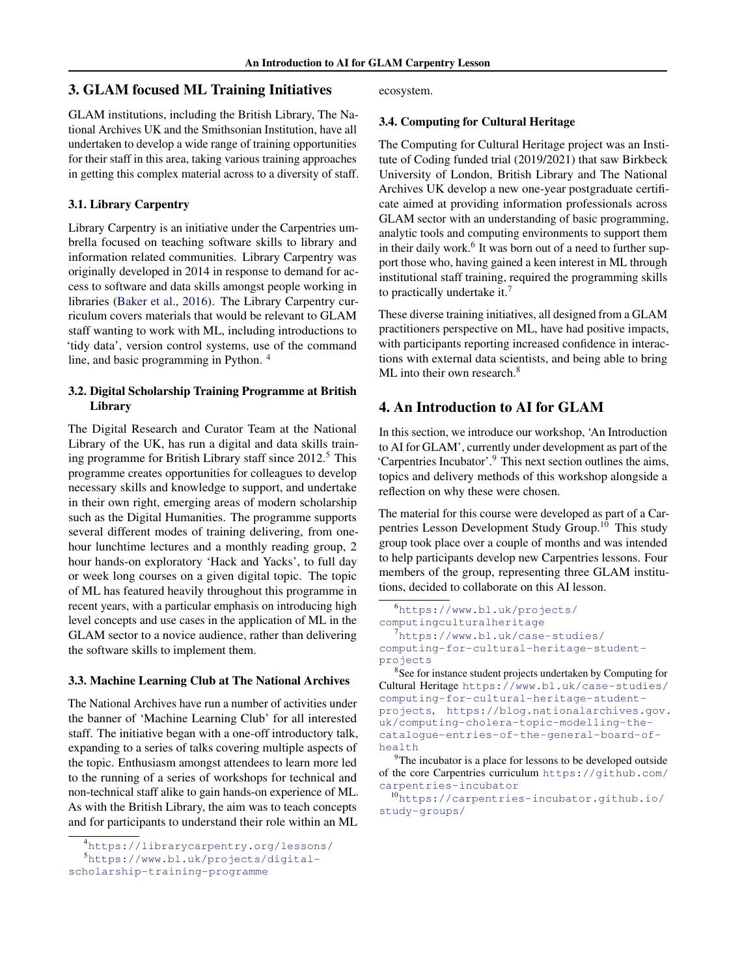# 3. GLAM focused ML Training Initiatives

GLAM institutions, including the British Library, The National Archives UK and the Smithsonian Institution, have all undertaken to develop a wide range of training opportunities for their staff in this area, taking various training approaches in getting this complex material across to a diversity of staff.

## 3.1. Library Carpentry

Library Carpentry is an initiative under the Carpentries umbrella focused on teaching software skills to library and information related communities. Library Carpentry was originally developed in 2014 in response to demand for access to software and data skills amongst people working in libraries [\(Baker et al.,](#page-4-0) [2016\)](#page-4-0). The Library Carpentry curriculum covers materials that would be relevant to GLAM staff wanting to work with ML, including introductions to 'tidy data', version control systems, use of the command line, and basic programming in Python. <sup>4</sup>

# 3.2. Digital Scholarship Training Programme at British Library

The Digital Research and Curator Team at the National Library of the UK, has run a digital and data skills training programme for British Library staff since  $2012<sup>5</sup>$ . This programme creates opportunities for colleagues to develop necessary skills and knowledge to support, and undertake in their own right, emerging areas of modern scholarship such as the Digital Humanities. The programme supports several different modes of training delivering, from onehour lunchtime lectures and a monthly reading group, 2 hour hands-on exploratory 'Hack and Yacks', to full day or week long courses on a given digital topic. The topic of ML has featured heavily throughout this programme in recent years, with a particular emphasis on introducing high level concepts and use cases in the application of ML in the GLAM sector to a novice audience, rather than delivering the software skills to implement them.

#### 3.3. Machine Learning Club at The National Archives

The National Archives have run a number of activities under the banner of 'Machine Learning Club' for all interested staff. The initiative began with a one-off introductory talk, expanding to a series of talks covering multiple aspects of the topic. Enthusiasm amongst attendees to learn more led to the running of a series of workshops for technical and non-technical staff alike to gain hands-on experience of ML. As with the British Library, the aim was to teach concepts and for participants to understand their role within an ML

```
4https://librarycarpentry.org/lessons/
5https://www.bl.uk/projects/digital-
```
[scholarship-training-programme](https://www.bl.uk/projects/digital-scholarship-training-programme)

ecosystem.

#### 3.4. Computing for Cultural Heritage

The Computing for Cultural Heritage project was an Institute of Coding funded trial (2019/2021) that saw Birkbeck University of London, British Library and The National Archives UK develop a new one-year postgraduate certificate aimed at providing information professionals across GLAM sector with an understanding of basic programming, analytic tools and computing environments to support them in their daily work.<sup>6</sup> It was born out of a need to further support those who, having gained a keen interest in ML through institutional staff training, required the programming skills to practically undertake it.<sup>7</sup>

These diverse training initiatives, all designed from a GLAM practitioners perspective on ML, have had positive impacts, with participants reporting increased confidence in interactions with external data scientists, and being able to bring ML into their own research.<sup>8</sup>

# 4. An Introduction to AI for GLAM

In this section, we introduce our workshop, 'An Introduction to AI for GLAM', currently under development as part of the 'Carpentries Incubator'.<sup>9</sup> This next section outlines the aims, topics and delivery methods of this workshop alongside a reflection on why these were chosen.

The material for this course were developed as part of a Carpentries Lesson Development Study Group.<sup>10</sup> This study group took place over a couple of months and was intended to help participants develop new Carpentries lessons. Four members of the group, representing three GLAM institutions, decided to collaborate on this AI lesson.

```
6https://www.bl.uk/projects/
computingculturalheritage
  7https://www.bl.uk/case-studies/
computing-for-cultural-heritage-student-
projects
```
<sup>8</sup>See for instance student projects undertaken by Computing for Cultural Heritage [https://www.bl.uk/case-studies/](https://www.bl.uk/case-studies/computing-for-cultural-heritage-student-projects) [computing-for-cultural-heritage-student](https://www.bl.uk/case-studies/computing-for-cultural-heritage-student-projects)[projects](https://www.bl.uk/case-studies/computing-for-cultural-heritage-student-projects), [https://blog.nationalarchives.gov.](https://blog.nationalarchives.gov.uk/computing-cholera-topic-modelling-the-catalogue-entries-of-the-general-board-of-health) [uk/computing-cholera-topic-modelling-the](https://blog.nationalarchives.gov.uk/computing-cholera-topic-modelling-the-catalogue-entries-of-the-general-board-of-health)[catalogue-entries-of-the-general-board-of](https://blog.nationalarchives.gov.uk/computing-cholera-topic-modelling-the-catalogue-entries-of-the-general-board-of-health)[health](https://blog.nationalarchives.gov.uk/computing-cholera-topic-modelling-the-catalogue-entries-of-the-general-board-of-health)

 $9$ The incubator is a place for lessons to be developed outside of the core Carpentries curriculum [https://github.com/](https://github.com/carpentries-incubator) [carpentries-incubator](https://github.com/carpentries-incubator)

<sup>10</sup>[https://carpentries-incubator.github.io/](https://carpentries-incubator.github.io/study-groups/) [study-groups/](https://carpentries-incubator.github.io/study-groups/)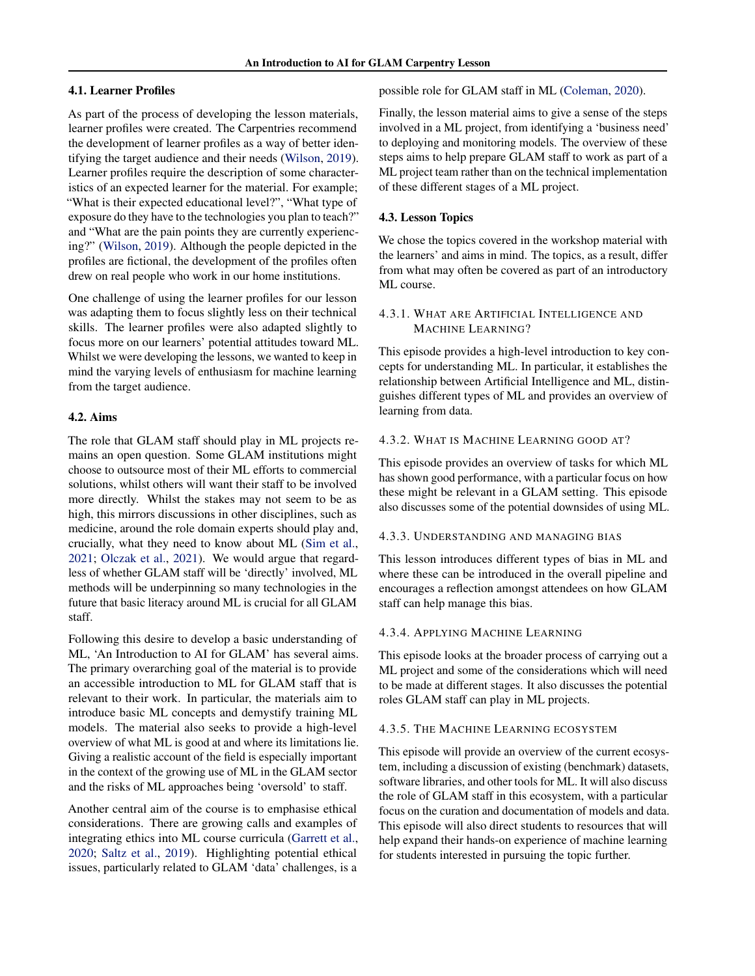### 4.1. Learner Profiles

As part of the process of developing the lesson materials, learner profiles were created. The Carpentries recommend the development of learner profiles as a way of better identifying the target audience and their needs [\(Wilson,](#page-4-0) [2019\)](#page-4-0). Learner profiles require the description of some characteristics of an expected learner for the material. For example; "What is their expected educational level?", "What type of exposure do they have to the technologies you plan to teach?" and "What are the pain points they are currently experiencing?" [\(Wilson,](#page-4-0) [2019\)](#page-4-0). Although the people depicted in the profiles are fictional, the development of the profiles often drew on real people who work in our home institutions.

One challenge of using the learner profiles for our lesson was adapting them to focus slightly less on their technical skills. The learner profiles were also adapted slightly to focus more on our learners' potential attitudes toward ML. Whilst we were developing the lessons, we wanted to keep in mind the varying levels of enthusiasm for machine learning from the target audience.

#### 4.2. Aims

The role that GLAM staff should play in ML projects remains an open question. Some GLAM institutions might choose to outsource most of their ML efforts to commercial solutions, whilst others will want their staff to be involved more directly. Whilst the stakes may not seem to be as high, this mirrors discussions in other disciplines, such as medicine, around the role domain experts should play and, crucially, what they need to know about ML [\(Sim et al.,](#page-4-0) [2021;](#page-4-0) [Olczak et al.,](#page-4-0) [2021\)](#page-4-0). We would argue that regardless of whether GLAM staff will be 'directly' involved, ML methods will be underpinning so many technologies in the future that basic literacy around ML is crucial for all GLAM staff.

Following this desire to develop a basic understanding of ML, 'An Introduction to AI for GLAM' has several aims. The primary overarching goal of the material is to provide an accessible introduction to ML for GLAM staff that is relevant to their work. In particular, the materials aim to introduce basic ML concepts and demystify training ML models. The material also seeks to provide a high-level overview of what ML is good at and where its limitations lie. Giving a realistic account of the field is especially important in the context of the growing use of ML in the GLAM sector and the risks of ML approaches being 'oversold' to staff.

Another central aim of the course is to emphasise ethical considerations. There are growing calls and examples of integrating ethics into ML course curricula [\(Garrett et al.,](#page-4-0) [2020;](#page-4-0) [Saltz et al.,](#page-4-0) [2019\)](#page-4-0). Highlighting potential ethical issues, particularly related to GLAM 'data' challenges, is a

possible role for GLAM staff in ML [\(Coleman,](#page-4-0) [2020\)](#page-4-0).

Finally, the lesson material aims to give a sense of the steps involved in a ML project, from identifying a 'business need' to deploying and monitoring models. The overview of these steps aims to help prepare GLAM staff to work as part of a ML project team rather than on the technical implementation of these different stages of a ML project.

#### 4.3. Lesson Topics

We chose the topics covered in the workshop material with the learners' and aims in mind. The topics, as a result, differ from what may often be covered as part of an introductory ML course.

## 4.3.1. WHAT ARE ARTIFICIAL INTELLIGENCE AND MACHINE LEARNING?

This episode provides a high-level introduction to key concepts for understanding ML. In particular, it establishes the relationship between Artificial Intelligence and ML, distinguishes different types of ML and provides an overview of learning from data.

# 4.3.2. WHAT IS MACHINE LEARNING GOOD AT?

This episode provides an overview of tasks for which ML has shown good performance, with a particular focus on how these might be relevant in a GLAM setting. This episode also discusses some of the potential downsides of using ML.

#### 4.3.3. UNDERSTANDING AND MANAGING BIAS

This lesson introduces different types of bias in ML and where these can be introduced in the overall pipeline and encourages a reflection amongst attendees on how GLAM staff can help manage this bias.

#### 4.3.4. APPLYING MACHINE LEARNING

This episode looks at the broader process of carrying out a ML project and some of the considerations which will need to be made at different stages. It also discusses the potential roles GLAM staff can play in ML projects.

#### 4.3.5. THE MACHINE LEARNING ECOSYSTEM

This episode will provide an overview of the current ecosystem, including a discussion of existing (benchmark) datasets, software libraries, and other tools for ML. It will also discuss the role of GLAM staff in this ecosystem, with a particular focus on the curation and documentation of models and data. This episode will also direct students to resources that will help expand their hands-on experience of machine learning for students interested in pursuing the topic further.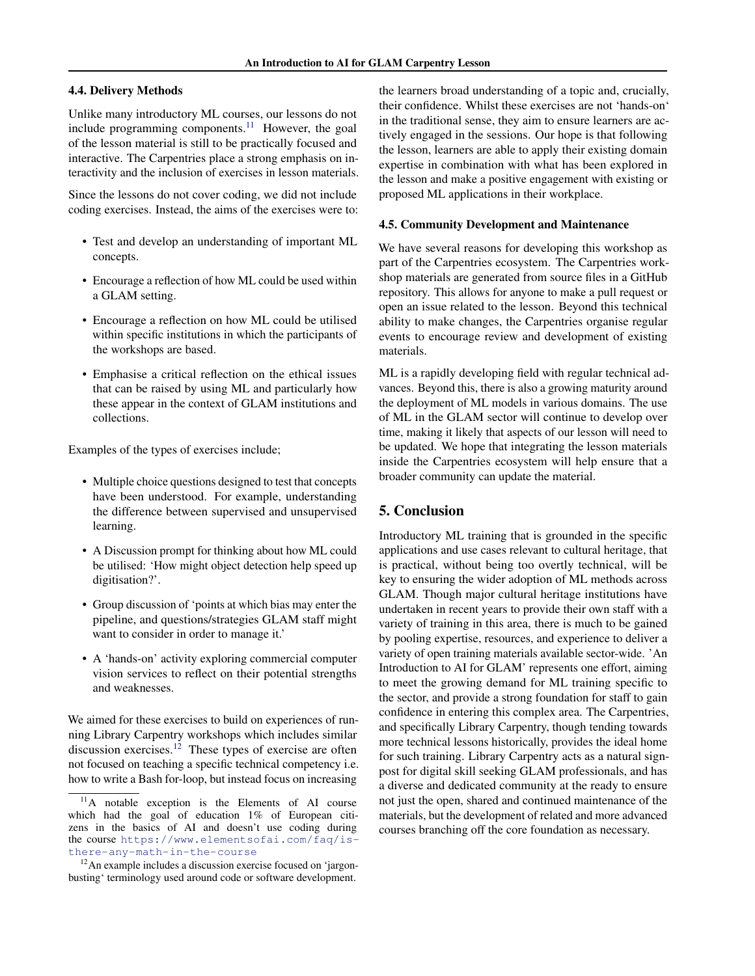#### 4.4. Delivery Methods

Unlike many introductory ML courses, our lessons do not include programming components. $11$  However, the goal of the lesson material is still to be practically focused and interactive. The Carpentries place a strong emphasis on interactivity and the inclusion of exercises in lesson materials.

Since the lessons do not cover coding, we did not include coding exercises. Instead, the aims of the exercises were to:

- Test and develop an understanding of important ML concepts.
- Encourage a reflection of how ML could be used within a GLAM setting.
- Encourage a reflection on how ML could be utilised within specific institutions in which the participants of the workshops are based.
- Emphasise a critical reflection on the ethical issues that can be raised by using ML and particularly how these appear in the context of GLAM institutions and collections.

Examples of the types of exercises include;

- Multiple choice questions designed to test that concepts have been understood. For example, understanding the difference between supervised and unsupervised learning.
- A Discussion prompt for thinking about how ML could be utilised: 'How might object detection help speed up digitisation?'.
- Group discussion of 'points at which bias may enter the pipeline, and questions/strategies GLAM staff might want to consider in order to manage it.'
- A 'hands-on' activity exploring commercial computer vision services to reflect on their potential strengths and weaknesses.

We aimed for these exercises to build on experiences of running Library Carpentry workshops which includes similar discussion exercises.<sup>12</sup> These types of exercise are often not focused on teaching a specific technical competency i.e. how to write a Bash for-loop, but instead focus on increasing

the learners broad understanding of a topic and, crucially, their confidence. Whilst these exercises are not 'hands-on' in the traditional sense, they aim to ensure learners are actively engaged in the sessions. Our hope is that following the lesson, learners are able to apply their existing domain expertise in combination with what has been explored in the lesson and make a positive engagement with existing or proposed ML applications in their workplace.

#### 4.5. Community Development and Maintenance

We have several reasons for developing this workshop as part of the Carpentries ecosystem. The Carpentries workshop materials are generated from source files in a GitHub repository. This allows for anyone to make a pull request or open an issue related to the lesson. Beyond this technical ability to make changes, the Carpentries organise regular events to encourage review and development of existing materials.

ML is a rapidly developing field with regular technical advances. Beyond this, there is also a growing maturity around the deployment of ML models in various domains. The use of ML in the GLAM sector will continue to develop over time, making it likely that aspects of our lesson will need to be updated. We hope that integrating the lesson materials inside the Carpentries ecosystem will help ensure that a broader community can update the material.

# 5. Conclusion

Introductory ML training that is grounded in the specific applications and use cases relevant to cultural heritage, that is practical, without being too overtly technical, will be key to ensuring the wider adoption of ML methods across GLAM. Though major cultural heritage institutions have undertaken in recent years to provide their own staff with a variety of training in this area, there is much to be gained by pooling expertise, resources, and experience to deliver a variety of open training materials available sector-wide. 'An Introduction to AI for GLAM' represents one effort, aiming to meet the growing demand for ML training specific to the sector, and provide a strong foundation for staff to gain confidence in entering this complex area. The Carpentries, and specifically Library Carpentry, though tending towards more technical lessons historically, provides the ideal home for such training. Library Carpentry acts as a natural signpost for digital skill seeking GLAM professionals, and has a diverse and dedicated community at the ready to ensure not just the open, shared and continued maintenance of the materials, but the development of related and more advanced courses branching off the core foundation as necessary.

<sup>&</sup>lt;sup>11</sup>A notable exception is the Elements of AI course which had the goal of education 1% of European citizens in the basics of AI and doesn't use coding during the course [https://www.elementsofai.com/faq/is](https://www.elementsofai.com/faq/is-there-any-math-in-the-course)[there-any-math-in-the-course](https://www.elementsofai.com/faq/is-there-any-math-in-the-course)

<sup>&</sup>lt;sup>12</sup>An example includes a discussion exercise focused on 'jargonbusting' terminology used around code or software development.